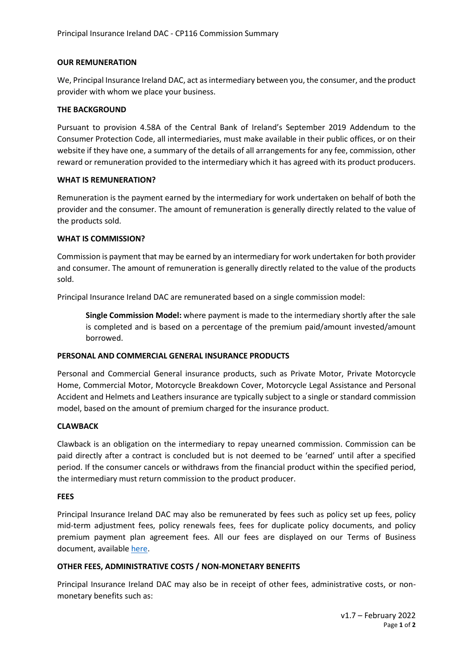### **OUR REMUNERATION**

We, Principal Insurance Ireland DAC, act as intermediary between you, the consumer, and the product provider with whom we place your business.

### **THE BACKGROUND**

Pursuant to provision 4.58A of the Central Bank of Ireland's September 2019 Addendum to the Consumer Protection Code, all intermediaries, must make available in their public offices, or on their website if they have one, a summary of the details of all arrangements for any fee, commission, other reward or remuneration provided to the intermediary which it has agreed with its product producers.

### **WHAT IS REMUNERATION?**

Remuneration is the payment earned by the intermediary for work undertaken on behalf of both the provider and the consumer. The amount of remuneration is generally directly related to the value of the products sold.

### **WHAT IS COMMISSION?**

Commission is payment that may be earned by an intermediary for work undertaken for both provider and consumer. The amount of remuneration is generally directly related to the value of the products sold.

Principal Insurance Ireland DAC are remunerated based on a single commission model:

**Single Commission Model:** where payment is made to the intermediary shortly after the sale is completed and is based on a percentage of the premium paid/amount invested/amount borrowed.

# **PERSONAL AND COMMERCIAL GENERAL INSURANCE PRODUCTS**

Personal and Commercial General insurance products, such as Private Motor, Private Motorcycle Home, Commercial Motor, Motorcycle Breakdown Cover, Motorcycle Legal Assistance and Personal Accident and Helmets and Leathers insurance are typically subject to a single or standard commission model, based on the amount of premium charged for the insurance product.

# **CLAWBACK**

Clawback is an obligation on the intermediary to repay unearned commission. Commission can be paid directly after a contract is concluded but is not deemed to be 'earned' until after a specified period. If the consumer cancels or withdraws from the financial product within the specified period, the intermediary must return commission to the product producer.

#### **FEES**

Principal Insurance Ireland DAC may also be remunerated by fees such as policy set up fees, policy mid-term adjustment fees, policy renewals fees, fees for duplicate policy documents, and policy premium payment plan agreement fees. All our fees are displayed on our Terms of Business document, available [here.](https://www.principalinsurance.ie/regulatory-information/)

# **OTHER FEES, ADMINISTRATIVE COSTS / NON-MONETARY BENEFITS**

Principal Insurance Ireland DAC may also be in receipt of other fees, administrative costs, or nonmonetary benefits such as: